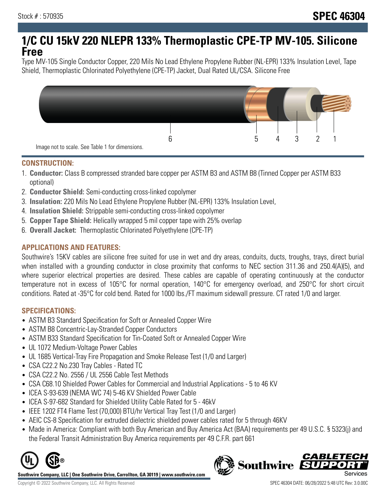# **1/C CU 15kV 220 NLEPR 133% Thermoplastic CPE-TP MV-105. Silicone Free**

Type MV-105 Single Conductor Copper, 220 Mils No Lead Ethylene Propylene Rubber (NL-EPR) 133% Insulation Level, Tape Shield, Thermoplastic Chlorinated Polyethylene (CPE-TP) Jacket, Dual Rated UL/CSA. Silicone Free



#### **CONSTRUCTION:**

- 1. **Conductor:** Class B compressed stranded bare copper per ASTM B3 and ASTM B8 (Tinned Copper per ASTM B33 optional)
- 2. **Conductor Shield:** Semi-conducting cross-linked copolymer
- 3. **Insulation:** 220 Mils No Lead Ethylene Propylene Rubber (NL-EPR) 133% Insulation Level,
- 4. **Insulation Shield:** Strippable semi-conducting cross-linked copolymer
- 5. **Copper Tape Shield:** Helically wrapped 5 mil copper tape with 25% overlap
- 6. **Overall Jacket:** Thermoplastic Chlorinated Polyethylene (CPE-TP)

### **APPLICATIONS AND FEATURES:**

Southwire's 15KV cables are silicone free suited for use in wet and dry areas, conduits, ducts, troughs, trays, direct burial when installed with a grounding conductor in close proximity that conforms to NEC section 311.36 and 250.4(A)(5), and where superior electrical properties are desired. These cables are capable of operating continuously at the conductor temperature not in excess of 105°C for normal operation, 140°C for emergency overload, and 250°C for short circuit conditions. Rated at -35°C for cold bend. Rated for 1000 lbs./FT maximum sidewall pressure. CT rated 1/0 and larger.

#### **SPECIFICATIONS:**

- ASTM B3 Standard Specification for Soft or Annealed Copper Wire
- ASTM B8 Concentric-Lay-Stranded Copper Conductors
- ASTM B33 Standard Specification for Tin-Coated Soft or Annealed Copper Wire
- UL 1072 Medium-Voltage Power Cables
- UL 1685 Vertical-Tray Fire Propagation and Smoke Release Test (1/0 and Larger)
- CSA C22.2 No.230 Tray Cables Rated TC
- CSA C22.2 No. 2556 / UL 2556 Cable Test Methods
- CSA C68.10 Shielded Power Cables for Commercial and Industrial Applications 5 to 46 KV
- ICEA S-93-639 (NEMA WC 74) 5-46 KV Shielded Power Cable
- ICEA S-97-682 Standard for Shielded Utility Cable Rated for 5 46kV
- IEEE 1202 FT4 Flame Test (70,000) BTU/hr Vertical Tray Test (1/0 and Larger)
- AEIC CS-8 Specification for extruded dielectric shielded power cables rated for 5 through 46KV
- Made in America: Compliant with both Buy American and Buy America Act (BAA) requirements per 49 U.S.C. § 5323(j) and the Federal Transit Administration Buy America requirements per 49 C.F.R. part 661



**Southwire Company, LLC | One Southwire Drive, Carrollton, GA 30119 | www.southwire.com**